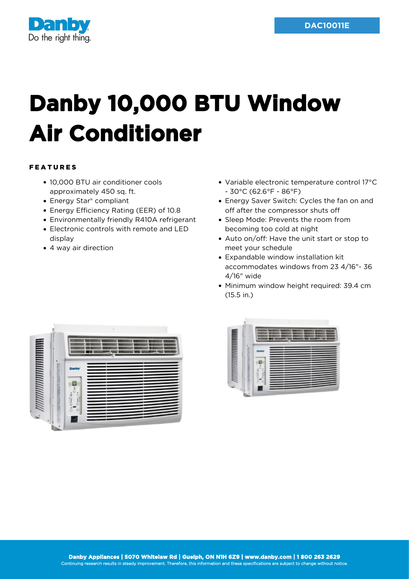

## **Danby 10,000 BTU Window Air Conditioner**

## FEATURES

- 10,000 BTU air conditioner cools approximately 450 sq. ft.
- Energy Star<sup>®</sup> compliant
- Energy Efficiency Rating (EER) of 10.8
- Environmentally friendly R410A refrigerant
- Electronic controls with remote and LED display
- 4 way air direction
- Variable electronic temperature control 17°C - 30°C (62.6°F - 86°F)
- Energy Saver Switch: Cycles the fan on and off after the compressor shuts off
- Sleep Mode: Prevents the room from becoming too cold at night
- Auto on/off: Have the unit start or stop to meet your schedule
- Expandable window installation kit accommodates windows from 23 4/16"- 36 4/16" wide
- Minimum window height required: 39.4 cm (15.5 in.)